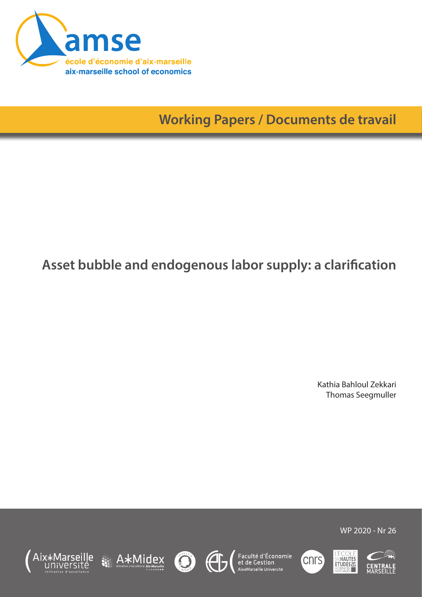

**Working Papers / Documents de travail**

# **Asset bubble and endogenous labor supply: a clarification**

Kathia Bahloul Zekkari Thomas Seegmuller















WP 2020 - Nr 26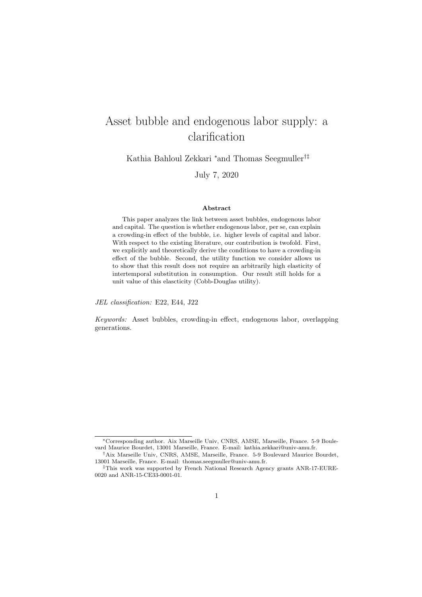## Asset bubble and endogenous labor supply: a clarification

Kathia Bahloul Zekkari <sup>∗</sup>and Thomas Seegmuller†‡

July 7, 2020

#### Abstract

This paper analyzes the link between asset bubbles, endogenous labor and capital. The question is whether endogenous labor, per se, can explain a crowding-in effect of the bubble, i.e. higher levels of capital and labor. With respect to the existing literature, our contribution is twofold. First, we explicitly and theoretically derive the conditions to have a crowding-in effect of the bubble. Second, the utility function we consider allows us to show that this result does not require an arbitrarily high elasticity of intertemporal substitution in consumption. Our result still holds for a unit value of this elascticity (Cobb-Douglas utility).

JEL classification: E22, E44, J22

Keywords: Asset bubbles, crowding-in effect, endogenous labor, overlapping generations.

<sup>∗</sup>Corresponding author. Aix Marseille Univ, CNRS, AMSE, Marseille, France. 5-9 Boulevard Maurice Bourdet, 13001 Marseille, France. E-mail: kathia.zekkari@univ-amu.fr.

<sup>†</sup>Aix Marseille Univ, CNRS, AMSE, Marseille, France. 5-9 Boulevard Maurice Bourdet, 13001 Marseille, France. E-mail: thomas.seegmuller@univ-amu.fr.

<sup>‡</sup>This work was supported by French National Research Agency grants ANR-17-EURE-0020 and ANR-15-CE33-0001-01.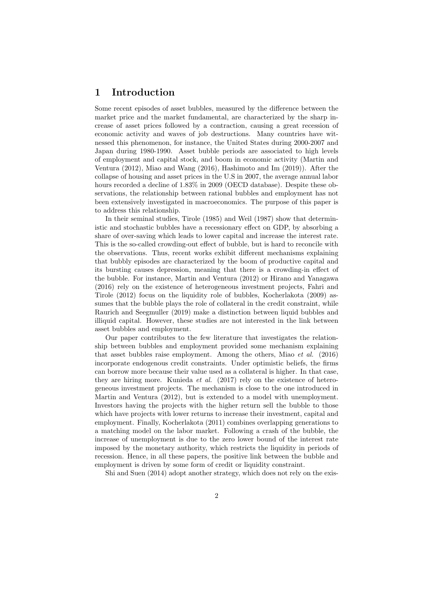### 1 Introduction

Some recent episodes of asset bubbles, measured by the difference between the market price and the market fundamental, are characterized by the sharp increase of asset prices followed by a contraction, causing a great recession of economic activity and waves of job destructions. Many countries have witnessed this phenomenon, for instance, the United States during 2000-2007 and Japan during 1980-1990. Asset bubble periods are associated to high levels of employment and capital stock, and boom in economic activity (Martin and Ventura (2012), Miao and Wang (2016), Hashimoto and Im (2019)). After the collapse of housing and asset prices in the U.S in 2007, the average annual labor hours recorded a decline of  $1.83\%$  in 2009 (OECD database). Despite these observations, the relationship between rational bubbles and employment has not been extensively investigated in macroeconomics. The purpose of this paper is to address this relationship.

In their seminal studies, Tirole (1985) and Weil (1987) show that deterministic and stochastic bubbles have a recessionary effect on GDP, by absorbing a share of over-saving which leads to lower capital and increase the interest rate. This is the so-called crowding-out effect of bubble, but is hard to reconcile with the observations. Thus, recent works exhibit different mechanisms explaining that bubbly episodes are characterized by the boom of productive capital and its bursting causes depression, meaning that there is a crowding-in effect of the bubble. For instance, Martin and Ventura (2012) or Hirano and Yanagawa (2016) rely on the existence of heterogeneous investment projects, Fahri and Tirole (2012) focus on the liquidity role of bubbles, Kocherlakota (2009) assumes that the bubble plays the role of collateral in the credit constraint, while Raurich and Seegmuller (2019) make a distinction between liquid bubbles and illiquid capital. However, these studies are not interested in the link between asset bubbles and employment.

Our paper contributes to the few literature that investigates the relationship between bubbles and employment provided some mechanism explaining that asset bubbles raise employment. Among the others, Miao et al. (2016) incorporate endogenous credit constraints. Under optimistic beliefs, the firms can borrow more because their value used as a collateral is higher. In that case, they are hiring more. Kunieda *et al.* (2017) rely on the existence of heterogeneous investment projects. The mechanism is close to the one introduced in Martin and Ventura (2012), but is extended to a model with unemployment. Investors having the projects with the higher return sell the bubble to those which have projects with lower returns to increase their investment, capital and employment. Finally, Kocherlakota (2011) combines overlapping generations to a matching model on the labor market. Following a crash of the bubble, the increase of unemployment is due to the zero lower bound of the interest rate imposed by the monetary authority, which restricts the liquidity in periods of recession. Hence, in all these papers, the positive link between the bubble and employment is driven by some form of credit or liquidity constraint.

Shi and Suen (2014) adopt another strategy, which does not rely on the exis-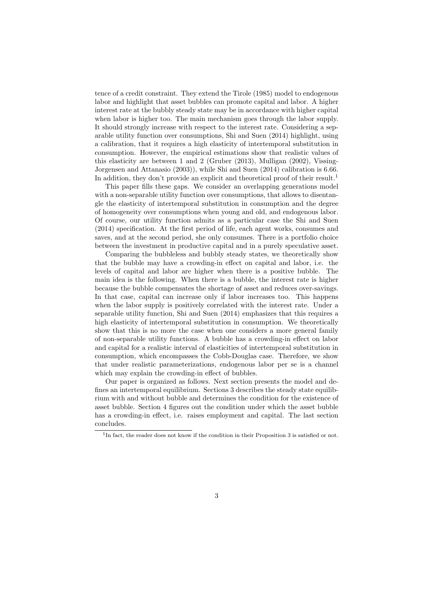tence of a credit constraint. They extend the Tirole (1985) model to endogenous labor and highlight that asset bubbles can promote capital and labor. A higher interest rate at the bubbly steady state may be in accordance with higher capital when labor is higher too. The main mechanism goes through the labor supply. It should strongly increase with respect to the interest rate. Considering a separable utility function over consumptions, Shi and Suen (2014) highlight, using a calibration, that it requires a high elasticity of intertemporal substitution in consumption. However, the empirical estimations show that realistic values of this elasticity are between 1 and 2 (Gruber (2013), Mulligan (2002), Vissing-Jorgensen and Attanasio (2003)), while Shi and Suen (2014) calibration is 6.66. In addition, they don't provide an explicit and theoretical proof of their result.<sup>1</sup>

This paper fills these gaps. We consider an overlapping generations model with a non-separable utility function over consumptions, that allows to disentangle the elasticity of intertemporal substitution in consumption and the degree of homogeneity over consumptions when young and old, and endogenous labor. Of course, our utility function admits as a particular case the Shi and Suen (2014) specification. At the first period of life, each agent works, consumes and saves, and at the second period, she only consumes. There is a portfolio choice between the investment in productive capital and in a purely speculative asset.

Comparing the bubbleless and bubbly steady states, we theoretically show that the bubble may have a crowding-in effect on capital and labor, i.e. the levels of capital and labor are higher when there is a positive bubble. The main idea is the following. When there is a bubble, the interest rate is higher because the bubble compensates the shortage of asset and reduces over-savings. In that case, capital can increase only if labor increases too. This happens when the labor supply is positively correlated with the interest rate. Under a separable utility function, Shi and Suen (2014) emphasizes that this requires a high elasticity of intertemporal substitution in consumption. We theoretically show that this is no more the case when one considers a more general family of non-separable utility functions. A bubble has a crowding-in effect on labor and capital for a realistic interval of elasticities of intertemporal substitution in consumption, which encompasses the Cobb-Douglas case. Therefore, we show that under realistic parameterizations, endogenous labor per se is a channel which may explain the crowding-in effect of bubbles.

Our paper is organized as follows. Next section presents the model and defines an intertemporal equilibrium. Sections 3 describes the steady state equilibrium with and without bubble and determines the condition for the existence of asset bubble. Section 4 figures out the condition under which the asset bubble has a crowding-in effect, i.e. raises employment and capital. The last section concludes.

<sup>&</sup>lt;sup>1</sup>In fact, the reader does not know if the condition in their Proposition 3 is satisfied or not.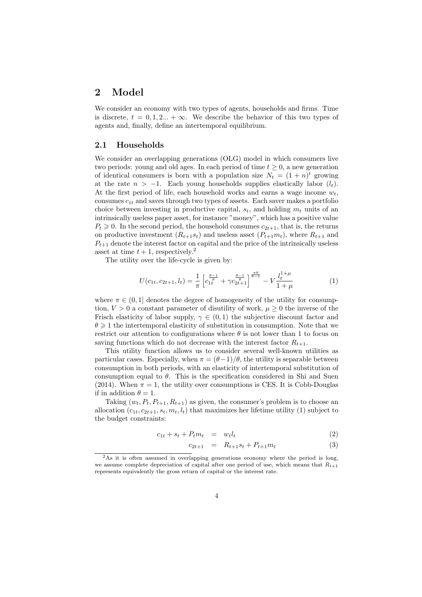#### 2 Model

We consider an economy with two types of agents, households and firms. Time is discrete,  $t = 0, 1, 2, \ldots + \infty$ . We describe the behavior of this two types of agents and, finally, define an intertemporal equilibrium.

#### 2.1 Households

We consider an overlapping generations (OLG) model in which consumers live two periods: young and old ages. In each period of time  $t \geq 0$ , a new generation of identical consumers is born with a population size  $N_t = (1 + n)^t$  growing at the rate  $n > -1$ . Each young households supplies elastically labor  $(l_t)$ . At the first period of life, each household works and earns a wage income  $w_t$ , consumes  $c_{1t}$  and saves through two types of assets. Each saver makes a portfolio choice between investing in productive capital,  $s_t$ , and holding  $m_t$  units of an intrinsically useless paper asset, for instance "money", which has a positive value  $P_t \geq 0$ . In the second period, the household consumes  $c_{2t+1}$ , that is, the returns on productive investment  $(R_{t+1}s_t)$  and useless asset  $(P_{t+1}m_t)$ , where  $R_{t+1}$  and  $P_{t+1}$  denote the interest factor on capital and the price of the intrinsically useless asset at time  $t + 1$ , respectively.<sup>2</sup>

The utility over the life-cycle is given by:

$$
U(c_{1t}, c_{2t+1}, l_t) = \frac{1}{\pi} \left[ c_{1t}^{\frac{\theta-1}{\theta}} + \gamma c_{2t+1}^{\frac{\theta-1}{\theta}} \right]^{\frac{\pi\theta}{\theta-1}} - V \frac{l_t^{1+\mu}}{1+\mu}
$$
(1)

where  $\pi \in (0, 1]$  denotes the degree of homogeneity of the utility for consumption,  $V > 0$  a constant parameter of disutility of work,  $\mu \geq 0$  the inverse of the Frisch elasticity of labor supply,  $\gamma \in (0,1)$  the subjective discount factor and  $\theta \geq 1$  the intertemporal elasticity of substitution in consumption. Note that we restrict our attention to configurations where  $\theta$  is not lower than 1 to focus on saving functions which do not decrease with the interest factor  $R_{t+1}$ .

This utility function allows us to consider several well-known utilities as particular cases. Especially, when  $\pi = (\theta - 1)/\theta$ , the utility is separable between consumption in both periods, with an elasticity of intertemporal substitution of consumption equal to  $\theta$ . This is the specification considered in Shi and Suen (2014). When  $\pi = 1$ , the utility over consumptions is CES. It is Cobb-Douglas if in addition  $\theta = 1$ .

Taking  $(w_t, P_t, P_{t+1}, R_{t+1})$  as given, the consumer's problem is to choose an allocation  $(c_{1t}, c_{2t+1}, s_t, m_t, l_t)$  that maximizes her lifetime utility (1) subject to the budget constraints:

$$
c_{1t} + s_t + P_t m_t = w_t l_t \tag{2}
$$

$$
c_{2t+1} = R_{t+1}s_t + P_{t+1}m_t \tag{3}
$$

<sup>2</sup>As it is often assumed in overlapping generations economy where the period is long, we assume complete depreciation of capital after one period of use, which means that  $R_{t+1}$ represents equivalently the gross return of capital or the interest rate.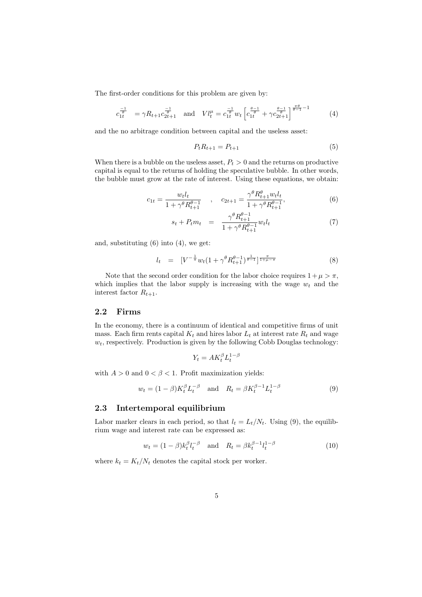The first-order conditions for this problem are given by:

$$
c_{1t}^{\frac{-1}{\theta}} = \gamma R_{t+1} c_{2t+1}^{\frac{-1}{\theta}} \quad \text{and} \quad V l_t^{\mu} = c_{1t}^{\frac{-1}{\theta}} w_t \left[ c_{1t}^{\frac{\theta-1}{\theta}} + \gamma c_{2t+1}^{\frac{\theta-1}{\theta}} \right]^{\frac{\pi\theta}{\theta-1} - 1} \tag{4}
$$

and the no arbitrage condition between capital and the useless asset:

$$
P_t R_{t+1} = P_{t+1} \tag{5}
$$

When there is a bubble on the useless asset,  $P_t > 0$  and the returns on productive capital is equal to the returns of holding the speculative bubble. In other words, the bubble must grow at the rate of interest. Using these equations, we obtain:

$$
c_{1t} = \frac{w_t l_t}{1 + \gamma^\theta R_{t+1}^{\theta - 1}} \quad , \quad c_{2t+1} = \frac{\gamma^\theta R_{t+1}^\theta w_t l_t}{1 + \gamma^\theta R_{t+1}^{\theta - 1}}, \tag{6}
$$

$$
s_t + P_t m_t = \frac{\gamma^{\theta} R_{t+1}^{\theta - 1}}{1 + \gamma^{\theta} R_{t+1}^{\theta - 1}} w_t l_t \tag{7}
$$

and, substituting (6) into (4), we get:

$$
l_t = [V^{-\frac{1}{\pi}} w_t (1 + \gamma^{\theta} R_{t+1}^{\theta - 1})^{\frac{1}{\theta - 1}}]^{\frac{\pi}{1 + \mu - \pi}}
$$
(8)

Note that the second order condition for the labor choice requires  $1 + \mu > \pi$ , which implies that the labor supply is increasing with the wage  $w_t$  and the interest factor  $R_{t+1}$ .

#### 2.2 Firms

In the economy, there is a continuum of identical and competitive firms of unit mass. Each firm rents capital  $K_t$  and hires labor  $L_t$  at interest rate  $R_t$  and wage  $w_t$ , respectively. Production is given by the following Cobb Douglas technology:

$$
Y_t = A K_t^{\beta} L_t^{1-\beta}
$$

with  $A > 0$  and  $0 < \beta < 1$ . Profit maximization yields:

$$
w_t = (1 - \beta)K_t^{\beta}L_t^{-\beta}
$$
 and  $R_t = \beta K_t^{\beta - 1}L_t^{1 - \beta}$  (9)

#### 2.3 Intertemporal equilibrium

Labor marker clears in each period, so that  $l_t = L_t/N_t$ . Using (9), the equilibrium wage and interest rate can be expressed as:

$$
w_t = (1 - \beta)k_t^{\beta}l_t^{-\beta} \quad \text{and} \quad R_t = \beta k_t^{\beta - 1}l_t^{1 - \beta} \tag{10}
$$

where  $k_t = K_t/N_t$  denotes the capital stock per worker.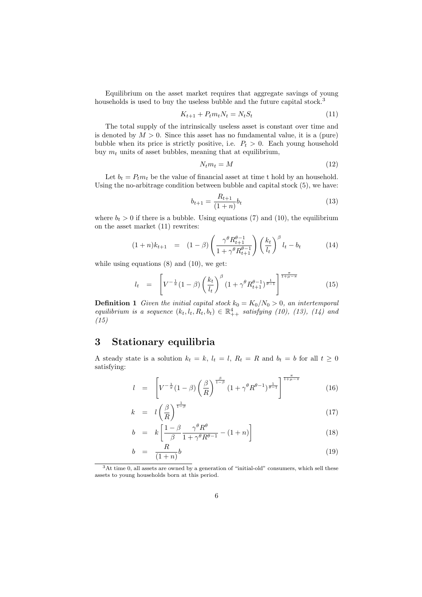Equilibrium on the asset market requires that aggregate savings of young households is used to buy the useless bubble and the future capital stock.<sup>3</sup>

$$
K_{t+1} + P_t m_t N_t = N_t S_t \tag{11}
$$

The total supply of the intrinsically useless asset is constant over time and is denoted by  $M > 0$ . Since this asset has no fundamental value, it is a (pure) bubble when its price is strictly positive, i.e.  $P_t > 0$ . Each young household buy  $m_t$  units of asset bubbles, meaning that at equilibrium,

$$
N_t m_t = M \tag{12}
$$

Let  $b_t = P_t m_t$  be the value of financial asset at time t hold by an household. Using the no-arbitrage condition between bubble and capital stock (5), we have:

$$
b_{t+1} = \frac{R_{t+1}}{(1+n)} b_t \tag{13}
$$

where  $b_t > 0$  if there is a bubble. Using equations (7) and (10), the equilibrium on the asset market (11) rewrites:

$$
(1+n)k_{t+1} = (1-\beta) \left( \frac{\gamma^{\theta} R_{t+1}^{\theta-1}}{1 + \gamma^{\theta} R_{t+1}^{\theta-1}} \right) \left( \frac{k_t}{l_t} \right)^{\beta} l_t - b_t \tag{14}
$$

while using equations  $(8)$  and  $(10)$ , we get:

$$
l_{t} = \left[ V^{-\frac{1}{\pi}} (1 - \beta) \left( \frac{k_{t}}{l_{t}} \right)^{\beta} (1 + \gamma^{\theta} R_{t+1}^{\theta - 1})^{\frac{1}{\theta - 1}} \right]^{\frac{\pi}{1 + \mu - \pi}}
$$
(15)

**Definition 1** Given the initial capital stock  $k_0 = K_0/N_0 > 0$ , an intertemporal equilibrium is a sequence  $(k_t, l_t, R_t, b_t) \in \mathbb{R}^4_{++}$  satisfying (10), (13), (14) and (15)

## 3 Stationary equilibria

A steady state is a solution  $k_t = k$ ,  $l_t = l$ ,  $R_t = R$  and  $b_t = b$  for all  $t \geq 0$ satisfying:

$$
l = \left[ V^{-\frac{1}{\pi}} (1 - \beta) \left( \frac{\beta}{R} \right)^{\frac{\beta}{1 - \beta}} (1 + \gamma^{\theta} R^{\theta - 1})^{\frac{1}{\theta - 1}} \right]^{\frac{\pi}{1 + \mu - \pi}}
$$
(16)

$$
k = l \left(\frac{\beta}{R}\right)^{\frac{1}{1-\beta}} \tag{17}
$$

$$
b = k \left[ \frac{1 - \beta}{\beta} \frac{\gamma^{\theta} R^{\theta}}{1 + \gamma^{\theta} R^{\theta - 1}} - (1 + n) \right]
$$
 (18)

$$
b = \frac{R}{(1+n)}b \tag{19}
$$

<sup>3</sup>At time 0, all assets are owned by a generation of "initial-old" consumers, which sell these assets to young households born at this period.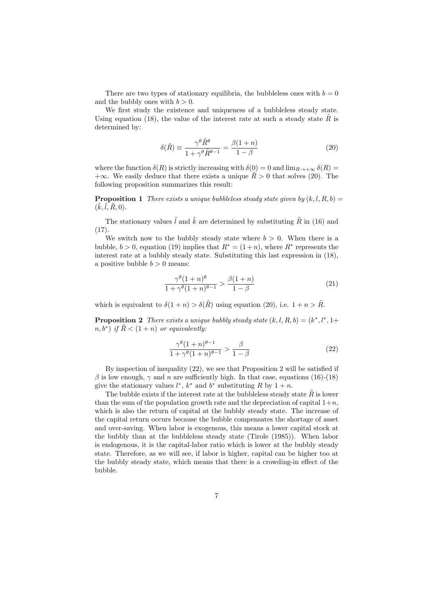There are two types of stationary equilibria, the bubbleless ones with  $b = 0$ and the bubbly ones with  $b > 0$ .

We first study the existence and uniqueness of a bubbleless steady state. Using equation (18), the value of the interest rate at such a steady state  $R$  is determined by:

$$
\delta(\tilde{R}) \equiv \frac{\gamma^{\theta} \tilde{R}^{\theta}}{1 + \gamma^{\theta} \tilde{R}^{\theta - 1}} = \frac{\beta(1 + n)}{1 - \beta}
$$
\n(20)

where the function  $\delta(R)$  is strictly increasing with  $\delta(0) = 0$  and  $\lim_{R\to+\infty} \delta(R) =$  $+\infty$ . We easily deduce that there exists a unique  $\bar{R} > 0$  that solves (20). The following proposition summarizes this result:

**Proposition 1** There exists a unique bubbleless steady state given by  $(k, l, R, b)$  =  $(\tilde{k}, \tilde{l}, \tilde{R}, 0).$ 

The stationary values  $\tilde{l}$  and  $\tilde{k}$  are determined by substituting  $\tilde{R}$  in (16) and  $(17)$ 

We switch now to the bubbly steady state where  $b > 0$ . When there is a bubble,  $b > 0$ , equation (19) implies that  $R^* = (1+n)$ , where  $R^*$  represents the interest rate at a bubbly steady state. Substituting this last expression in (18), a positive bubble  $b > 0$  means:

$$
\frac{\gamma^{\theta}(1+n)^{\theta}}{1+\gamma^{\theta}(1+n)^{\theta-1}} > \frac{\beta(1+n)}{1-\beta}
$$
\n(21)

which is equivalent to  $\delta(1+n) > \delta(\tilde{R})$  using equation (20), i.e.  $1+n > \tilde{R}$ .

**Proposition 2** There exists a unique bubbly steady state  $(k, l, R, b) = (k^*, l^*, 1 +$  $(n, b^*)$  if  $\tilde{R} < (1+n)$  or equivalently:

$$
\frac{\gamma^{\theta}(1+n)^{\theta-1}}{1+\gamma^{\theta}(1+n)^{\theta-1}} > \frac{\beta}{1-\beta}
$$
\n(22)

By inspection of inequality (22), we see that Proposition 2 will be satisfied if β is low enough,  $\gamma$  and n are sufficiently high. In that case, equations (16)-(18) give the stationary values  $l^*, k^*$  and  $b^*$  substituting R by  $1 + n$ .

The bubble exists if the interest rate at the bubbleless steady state  $\tilde{R}$  is lower than the sum of the population growth rate and the depreciation of capital  $1+n$ , which is also the return of capital at the bubbly steady state. The increase of the capital return occurs because the bubble compensates the shortage of asset and over-saving. When labor is exogenous, this means a lower capital stock at the bubbly than at the bubbleless steady state (Tirole (1985)). When labor is endogenous, it is the capital-labor ratio which is lower at the bubbly steady state. Therefore, as we will see, if labor is higher, capital can be higher too at the bubbly steady state, which means that there is a crowding-in effect of the bubble.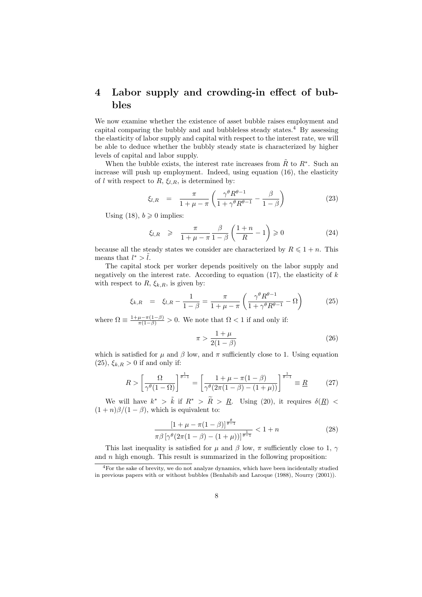## 4 Labor supply and crowding-in effect of bubbles

We now examine whether the existence of asset bubble raises employment and capital comparing the bubbly and and bubbleless steady states.<sup>4</sup> By assessing the elasticity of labor supply and capital with respect to the interest rate, we will be able to deduce whether the bubbly steady state is characterized by higher levels of capital and labor supply.

When the bubble exists, the interest rate increases from  $\tilde{R}$  to  $R^*$ . Such an increase will push up employment. Indeed, using equation (16), the elasticity of l with respect to R,  $\xi_{l,R}$ , is determined by:

$$
\xi_{l,R} = \frac{\pi}{1 + \mu - \pi} \left( \frac{\gamma^{\theta} R^{\theta - 1}}{1 + \gamma^{\theta} R^{\theta - 1}} - \frac{\beta}{1 - \beta} \right) \tag{23}
$$

Using (18),  $b \ge 0$  implies:

$$
\xi_{l,R} \geqslant \frac{\pi}{1+\mu-\pi} \frac{\beta}{1-\beta} \left( \frac{1+n}{R} - 1 \right) \geqslant 0 \tag{24}
$$

because all the steady states we consider are characterized by  $R \leq 1 + n$ . This means that  $l^* > \tilde{l}$ .

The capital stock per worker depends positively on the labor supply and negatively on the interest rate. According to equation  $(17)$ , the elasticity of k with respect to  $R, \xi_{k,R}$ , is given by:

$$
\xi_{k,R} = \xi_{l,R} - \frac{1}{1-\beta} = \frac{\pi}{1+\mu-\pi} \left( \frac{\gamma^{\theta} R^{\theta-1}}{1+\gamma^{\theta} R^{\theta-1}} - \Omega \right)
$$
(25)

where  $\Omega \equiv \frac{1+\mu-\pi(1-\beta)}{\pi(1-\beta)} > 0$ . We note that  $\Omega < 1$  if and only if:

$$
\pi > \frac{1+\mu}{2(1-\beta)}\tag{26}
$$

which is satisfied for  $\mu$  and  $\beta$  low, and  $\pi$  sufficiently close to 1. Using equation  $(25), \xi_{k,R} > 0$  if and only if:

$$
R > \left[\frac{\Omega}{\gamma^{\theta}(1-\Omega)}\right]^{\frac{1}{\theta-1}} = \left[\frac{1+\mu-\pi(1-\beta)}{\gamma^{\theta}(2\pi(1-\beta)-(1+\mu))}\right]^{\frac{1}{\theta-1}} \equiv \underline{R}
$$
 (27)

We will have  $k^* > \tilde{k}$  if  $R^* > \tilde{R} > R$ . Using (20), it requires  $\delta(R) <$  $(1 + n)\beta/(1 - \beta)$ , which is equivalent to:

$$
\frac{\left[1+\mu-\pi(1-\beta)\right]^{\frac{\theta}{\theta-1}}}{\pi\beta\left[\gamma^{\theta}(2\pi(1-\beta)-(1+\mu))\right]^{\frac{1}{\theta-1}}} < 1+n
$$
\n(28)

This last inequality is satisfied for  $\mu$  and  $\beta$  low,  $\pi$  sufficiently close to 1,  $\gamma$ and  $n$  high enough. This result is summarized in the following proposition:

<sup>4</sup>For the sake of brevity, we do not analyze dynamics, which have been incidentally studied in previous papers with or without bubbles (Benhabib and Laroque (1988), Nourry (2001)).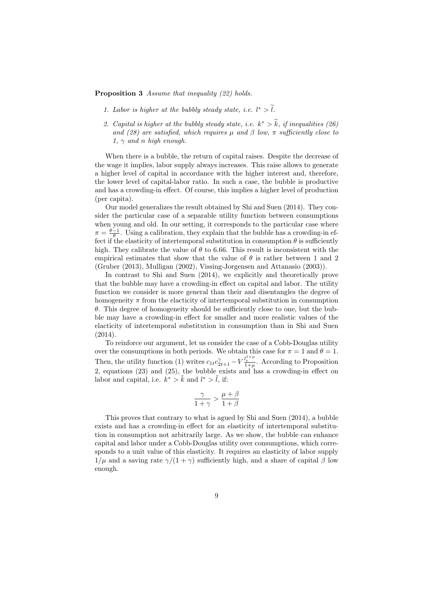Proposition 3 Assume that inequality (22) holds.

- 1. Labor is higher at the bubbly steady state, i.e.  $l^* > l$ .
- 2. Capital is higher at the bubbly steady state, i.e.  $k^* > \tilde{k}$ , if inequalities (26) and (28) are satisfied, which requires  $\mu$  and  $\beta$  low,  $\pi$  sufficiently close to 1,  $\gamma$  and n high enough.

When there is a bubble, the return of capital raises. Despite the decrease of the wage it implies, labor supply always increases. This raise allows to generate a higher level of capital in accordance with the higher interest and, therefore, the lower level of capital-labor ratio. In such a case, the bubble is productive and has a crowding-in effect. Of course, this implies a higher level of production (per capita).

Our model generalizes the result obtained by Shi and Suen (2014). They consider the particular case of a separable utility function between consumptions when young and old. In our setting, it corresponds to the particular case where  $\pi = \frac{\theta - 1}{\theta}$ . Using a calibration, they explain that the bubble has a crowding-in effect if the elasticity of intertemporal substitution in consumption  $\theta$  is sufficiently high. They calibrate the value of  $\theta$  to 6.66. This result is inconsistent with the empirical estimates that show that the value of  $\theta$  is rather between 1 and 2 (Gruber (2013), Mulligan (2002), Vissing-Jorgensen and Attanasio (2003)).

In contrast to Shi and Suen (2014), we explicitly and theoretically prove that the bubble may have a crowding-in effect on capital and labor. The utility function we consider is more general than their and disentangles the degree of homogeneity  $\pi$  from the elacticity of intertemporal substitution in consumption  $\theta$ . This degree of homogeneity should be sufficiently close to one, but the bubble may have a crowding-in effect for smaller and more realistic values of the elacticity of intertemporal substitution in consumption than in Shi and Suen (2014).

To reinforce our argument, let us consider the case of a Cobb-Douglas utility over the consumptions in both periods. We obtain this case for  $\pi = 1$  and  $\theta = 1$ . Then, the utility function (1) writes  $c_{1t}c_{2t+1}^{\gamma} - V_{\frac{1+\mu}{1+\mu}}^{l_{t}^{\gamma}+1}$ . According to Proposition 2, equations (23) and (25), the bubble exists and has a crowding-in effect on labor and capital, i.e.  $k^* > \tilde{k}$  and  $l^* > \tilde{l}$ , if:

$$
\frac{\gamma}{1+\gamma}>\frac{\mu+\beta}{1+\beta}
$$

This proves that contrary to what is agued by Shi and Suen (2014), a bubble exists and has a crowding-in effect for an elasticity of intertemporal substitution in consumption not arbitrarily large. As we show, the bubble can enhance capital and labor under a Cobb-Douglas utility over consumptions, which corresponds to a unit value of this elasticity. It requires an elasticity of labor supply  $1/\mu$  and a saving rate  $\gamma/(1+\gamma)$  sufficiently high, and a share of capital  $\beta$  low enough.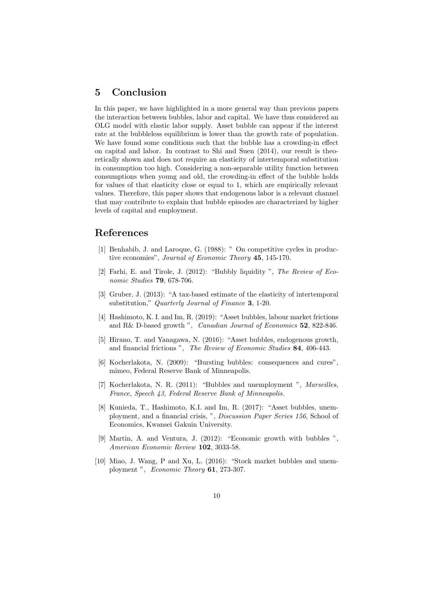## 5 Conclusion

In this paper, we have highlighted in a more general way than previous papers the interaction between bubbles, labor and capital. We have thus considered an OLG model with elastic labor supply. Asset bubble can appear if the interest rate at the bubbleless equilibrium is lower than the growth rate of population. We have found some conditions such that the bubble has a crowding-in effect on capital and labor. In contrast to Shi and Suen (2014), our result is theoretically shown and does not require an elasticity of intertemporal substitution in consumption too high. Considering a non-separable utility function between consumptions when young and old, the crowding-in effect of the bubble holds for values of that elasticity close or equal to 1, which are empirically relevant values. Therefore, this paper shows that endogenous labor is a relevant channel that may contribute to explain that bubble episodes are characterized by higher levels of capital and employment.

## References

- [1] Benhabib, J. and Laroque, G. (1988): " On competitive cycles in productive economies", Journal of Economic Theory 45, 145-170.
- [2] Farhi, E. and Tirole, J. (2012): "Bubbly liquidity ", The Review of Economic Studies **79**, 678-706.
- [3] Gruber, J. (2013): "A tax-based estimate of the elasticity of intertemporal substitution," Quarterly Journal of Finance 3, 1-20.
- [4] Hashimoto, K. I. and Im, R. (2019): "Asset bubbles, labour market frictions and R& D-based growth ", *Canadian Journal of Economics* 52, 822-846.
- [5] Hirano, T. and Yanagawa, N. (2016): "Asset bubbles, endogenous growth, and financial frictions". The Review of Economic Studies 84, 406-443.
- [6] Kocherlakota, N. (2009): "Bursting bubbles: consequences and cures", mimeo, Federal Reserve Bank of Minneapolis.
- [7] Kocherlakota, N. R. (2011): "Bubbles and unemployment ", Marseilles, France, Speech 43, Federal Reserve Bank of Minneapolis.
- [8] Kunieda, T., Hashimoto, K.I. and Im, R. (2017): "Asset bubbles, unemployment, and a financial crisis, ", Discussion Paper Series 156, School of Economics, Kwansei Gakuin University.
- [9] Martin, A. and Ventura, J. (2012): "Economic growth with bubbles ", American Economic Review 102, 3033-58.
- [10] Miao, J. Wang, P and Xu, L. (2016): "Stock market bubbles and unemployment", Economic Theory 61, 273-307.